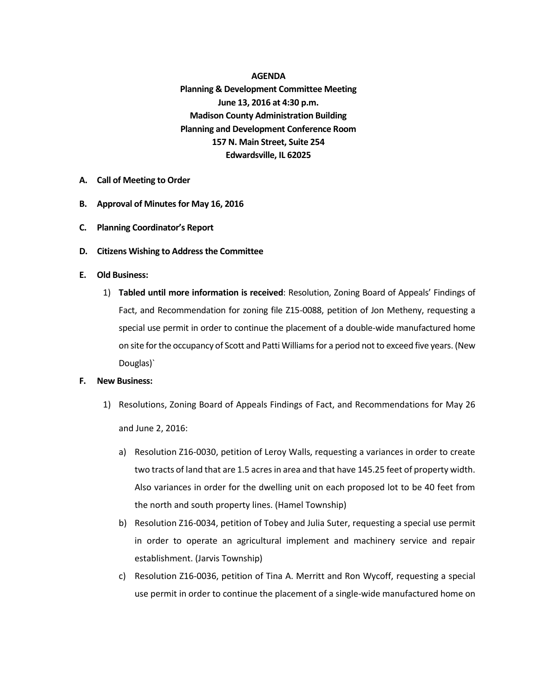**AGENDA Planning & Development Committee Meeting June 13, 2016 at 4:30 p.m. Madison County Administration Building Planning and Development Conference Room 157 N. Main Street, Suite 254 Edwardsville, IL 62025**

- **A. Call of Meeting to Order**
- **B. Approval of Minutesfor May 16, 2016**
- **C. Planning Coordinator's Report**
- **D. Citizens Wishing to Address the Committee**
- **E. Old Business:**
	- 1) **Tabled until more information is received**: Resolution, Zoning Board of Appeals' Findings of Fact, and Recommendation for zoning file Z15-0088, petition of Jon Metheny, requesting a special use permit in order to continue the placement of a double-wide manufactured home on site for the occupancy of Scott and Patti Williams for a period not to exceed five years. (New Douglas)`

## **F. New Business:**

- 1) Resolutions, Zoning Board of Appeals Findings of Fact, and Recommendations for May 26 and June 2, 2016:
	- a) Resolution Z16-0030, petition of Leroy Walls, requesting a variances in order to create two tracts of land that are 1.5 acres in area and that have 145.25 feet of property width. Also variances in order for the dwelling unit on each proposed lot to be 40 feet from the north and south property lines. (Hamel Township)
	- b) Resolution Z16-0034, petition of Tobey and Julia Suter, requesting a special use permit in order to operate an agricultural implement and machinery service and repair establishment. (Jarvis Township)
	- c) Resolution Z16-0036, petition of Tina A. Merritt and Ron Wycoff, requesting a special use permit in order to continue the placement of a single-wide manufactured home on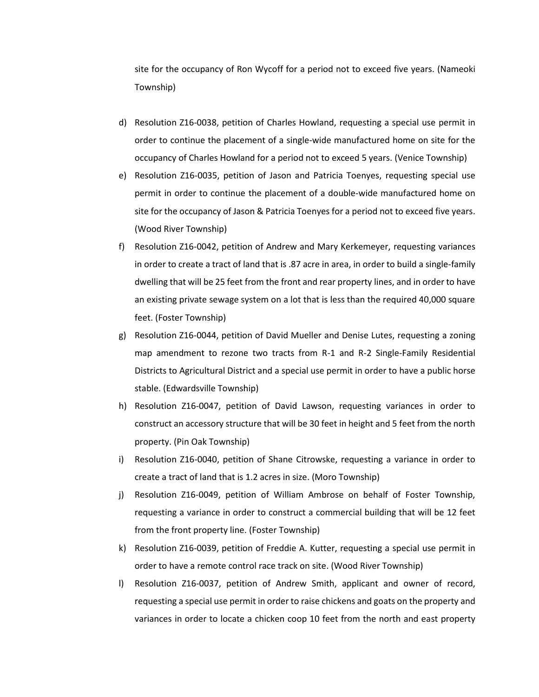site for the occupancy of Ron Wycoff for a period not to exceed five years. (Nameoki Township)

- d) Resolution Z16-0038, petition of Charles Howland, requesting a special use permit in order to continue the placement of a single-wide manufactured home on site for the occupancy of Charles Howland for a period not to exceed 5 years. (Venice Township)
- e) Resolution Z16-0035, petition of Jason and Patricia Toenyes, requesting special use permit in order to continue the placement of a double-wide manufactured home on site for the occupancy of Jason & Patricia Toenyes for a period not to exceed five years. (Wood River Township)
- f) Resolution Z16-0042, petition of Andrew and Mary Kerkemeyer, requesting variances in order to create a tract of land that is .87 acre in area, in order to build a single-family dwelling that will be 25 feet from the front and rear property lines, and in order to have an existing private sewage system on a lot that is less than the required 40,000 square feet. (Foster Township)
- g) Resolution Z16-0044, petition of David Mueller and Denise Lutes, requesting a zoning map amendment to rezone two tracts from R-1 and R-2 Single-Family Residential Districts to Agricultural District and a special use permit in order to have a public horse stable. (Edwardsville Township)
- h) Resolution Z16-0047, petition of David Lawson, requesting variances in order to construct an accessory structure that will be 30 feet in height and 5 feet from the north property. (Pin Oak Township)
- i) Resolution Z16-0040, petition of Shane Citrowske, requesting a variance in order to create a tract of land that is 1.2 acres in size. (Moro Township)
- j) Resolution Z16-0049, petition of William Ambrose on behalf of Foster Township, requesting a variance in order to construct a commercial building that will be 12 feet from the front property line. (Foster Township)
- k) Resolution Z16-0039, petition of Freddie A. Kutter, requesting a special use permit in order to have a remote control race track on site. (Wood River Township)
- l) Resolution Z16-0037, petition of Andrew Smith, applicant and owner of record, requesting a special use permit in order to raise chickens and goats on the property and variances in order to locate a chicken coop 10 feet from the north and east property